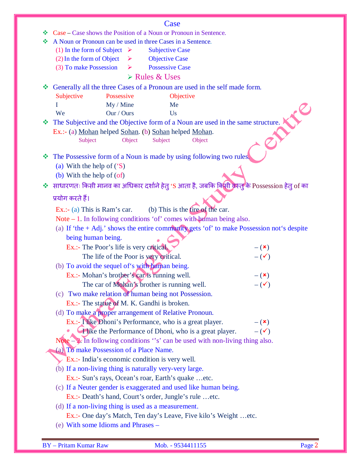|   | Case                                                                                           |  |  |  |  |  |
|---|------------------------------------------------------------------------------------------------|--|--|--|--|--|
| ❖ | Case – Case shows the Position of a Noun or Pronoun in Sentence.                               |  |  |  |  |  |
| ❖ | A Noun or Pronoun can be used in three Cases in a Sentence.                                    |  |  |  |  |  |
|   | (1) In the form of Subject $\triangleright$<br><b>Subjective Case</b>                          |  |  |  |  |  |
|   | (2) In the form of Object<br><b>Objective Case</b><br>➤                                        |  |  |  |  |  |
|   | (3) To make Possession<br><b>Possessive Case</b><br>➤                                          |  |  |  |  |  |
|   | > Rules & Uses                                                                                 |  |  |  |  |  |
|   | Generally all the three Cases of a Pronoun are used in the self made form.                     |  |  |  |  |  |
|   | Subjective<br>Possessive<br>Objective                                                          |  |  |  |  |  |
|   | My / Mine<br>I<br>Me                                                                           |  |  |  |  |  |
|   | We<br>Our / Ours<br>Us                                                                         |  |  |  |  |  |
|   | The Subjective and the Objective form of a Noun are used in the same structure.                |  |  |  |  |  |
|   | Ex.:- (a) Mohan helped Sohan. (b) Sohan helped Mohan.                                          |  |  |  |  |  |
|   | Subject<br>Object<br>Subject<br>Object                                                         |  |  |  |  |  |
|   |                                                                                                |  |  |  |  |  |
| ❖ | The Possessive form of a Noun is made by using following two rules.                            |  |  |  |  |  |
|   | (a) With the help of $(S)$                                                                     |  |  |  |  |  |
|   | (b) With the help of (of)                                                                      |  |  |  |  |  |
|   | साधारणतः किसी मानव का अधिकार दर्शाने हेतु 'S आता है, जबकि किसी वरन्तु के Possession हेतु of का |  |  |  |  |  |
|   | प्रयोग करते हैं।                                                                               |  |  |  |  |  |
|   | (b) This is the $fire$ of the car.<br>Ex.: (a) This is Ram's car.                              |  |  |  |  |  |
|   | Note $-1$ . In following conditions 'of' comes with $\mu$ man being also.                      |  |  |  |  |  |
|   | (a) If 'the + Adj.' shows the entire community gets 'of' to make Possession not's despite      |  |  |  |  |  |
|   | being human being.                                                                             |  |  |  |  |  |
|   | Ex.:- The Poor's life is very critical.                                                        |  |  |  |  |  |
|   | $-({\bf x})$<br>$-(\checkmark)$                                                                |  |  |  |  |  |
|   | The life of the Poor is yery critical.                                                         |  |  |  |  |  |
|   | (b) To avoid the sequel of's with haman being.                                                 |  |  |  |  |  |
|   | Ex.:- Mohan's brother's car is running well.<br>$ (\star)$                                     |  |  |  |  |  |
|   | The car of Mohan's brother is running well.<br>$-(\checkmark)$                                 |  |  |  |  |  |
|   | (c) Two make relation of human being not Possession.                                           |  |  |  |  |  |
|   | Ex.:- The statue of M. K. Gandhi is broken.                                                    |  |  |  |  |  |
|   | (d) To make a proper arrangement of Relative Pronoun.                                          |  |  |  |  |  |
|   | Ex.:- This Dhoni's Performance, who is a great player.<br>$-({\bf x})$                         |  |  |  |  |  |
|   | Tike the Performance of Dhoni, who is a great player.<br>$-(\checkmark)$                       |  |  |  |  |  |
|   | Note $-\sqrt{2}$ . In following conditions "s' can be used with non-living thing also.         |  |  |  |  |  |
|   | (a) To make Possession of a Place Name.                                                        |  |  |  |  |  |
|   | Ex.:- India's economic condition is very well.                                                 |  |  |  |  |  |
|   | (b) If a non-living thing is naturally very-very large.                                        |  |  |  |  |  |
|   | Ex.:- Sun's rays, Ocean's roar, Earth's quake etc.                                             |  |  |  |  |  |
|   | (c) If a Neuter gender is exaggerated and used like human being.                               |  |  |  |  |  |
|   | Ex.:- Death's hand, Court's order, Jungle's rule etc.                                          |  |  |  |  |  |
|   | (d) If a non-living thing is used as a measurement.                                            |  |  |  |  |  |
|   | Ex.:- One day's Match, Ten day's Leave, Five kilo's Weight  etc.                               |  |  |  |  |  |
|   | (e) With some Idioms and Phrases –                                                             |  |  |  |  |  |
|   |                                                                                                |  |  |  |  |  |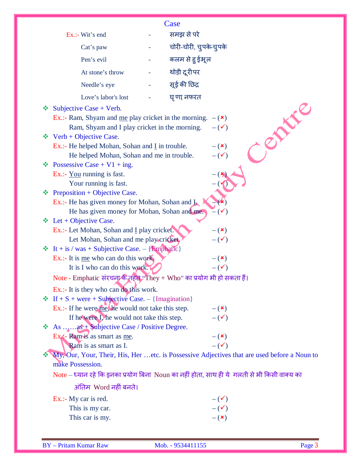|                                                                                                                                                    | Case |                                 |             |
|----------------------------------------------------------------------------------------------------------------------------------------------------|------|---------------------------------|-------------|
| Ex.:- Wit's end                                                                                                                                    |      | समझ से परे                      |             |
| Cat's paw                                                                                                                                          |      | चोरी-चोरी, चुपके-चुपके          |             |
| Pen's evil                                                                                                                                         |      | कलम से हू ईभूल                  |             |
| At stone's throw                                                                                                                                   |      | थोड़ी दूरीपर                    |             |
| Needle's eye                                                                                                                                       |      | सूई की छिद्र                    |             |
| Love's labor's lost                                                                                                                                |      | घू णा, नफरत                     |             |
| Subjective Case $+$ Verb.                                                                                                                          |      |                                 |             |
| ❖<br>Ex.:- Ram, Shyam and <u>me</u> play cricket in the morning. $-(\star)$<br>Ram, Shyam and I play cricket in the morning.                       |      | $-(\checkmark)$                 | <b>NUTE</b> |
| <b><math>\diamond</math></b> Verb + Objective Case.<br>Ex.:- He helped Mohan, Sohan and I in trouble.<br>He helped Mohan, Sohan and me in trouble. |      | $-({\bf x})$<br>$-(\checkmark)$ |             |
| • Possessive Case + $V1$ + ing.<br>Ex.:- You running is fast.<br>Your running is fast.                                                             |      |                                 |             |
| Preposition + Objective Case.<br>❖<br>Ex.:- He has given money for Mohan, Sohan and $\mathbf{L}$                                                   |      |                                 |             |
| He has given money for Mohan, Sohan and me.                                                                                                        |      | $-(\checkmark)$                 |             |
| $\div$ Let + Objective Case.                                                                                                                       |      |                                 |             |
| Ex.:- Let Mohan, Sohan and I play cricket.<br>Let Mohan, Sohan and me play cricket.                                                                |      | $-({\bf x})$<br>$-(\checkmark)$ |             |
| $\cdot \cdot$ It + is / was + Subjective Case. – {Emphatic}                                                                                        |      |                                 |             |
| Ex.:- It is <u>me</u> who can do this work.                                                                                                        |      | $-({\bf x})$                    |             |
| It is I who can do this work.                                                                                                                      |      | $-(\checkmark)$                 |             |
| Note - Emphatic संरचना/के तहत "They + Who" का प्रयोग भी हो सकता हैं।                                                                               |      |                                 |             |
| Ex.:- It is they who can do this work.                                                                                                             |      |                                 |             |
| $\div$ If + S + were + Subjective Case. – {Imagination}                                                                                            |      |                                 |             |
| Ex.:- If he were me, he would not take this step.                                                                                                  |      | $-({\bf x})$                    |             |
| If he were L he would not take this step.                                                                                                          |      | $ (\checkmark)$                 |             |
| $\cdot$ As  as + Subjective Case / Positive Degree.                                                                                                |      |                                 |             |
| Ex. Ram is as smart as me.                                                                                                                         |      | $-({\bf x})$                    |             |
| Ram is as smart as I.                                                                                                                              |      | $ (\checkmark)$                 |             |
| My, Our, Your, Their, His, Her  etc. is Possessive Adjectives that are used before a Noun to                                                       |      |                                 |             |
| make Possession.                                                                                                                                   |      |                                 |             |
| Note – ध्यान रहे कि इनका प्रयोग बिना Noun का नहीं होता, साथ ही ये  गलती से भी किसी वाक्य का                                                        |      |                                 |             |
| अंतिम Word नहीं बनते।                                                                                                                              |      |                                 |             |
| $Ex.:$ My car is red.                                                                                                                              |      | $-(\checkmark)$                 |             |
|                                                                                                                                                    |      | $-(\checkmark)$                 |             |
| This is my car.                                                                                                                                    |      |                                 |             |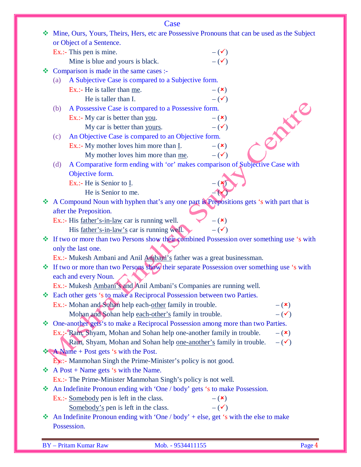|   |                    | Case                                                                                                                                       |                 |                 |  |
|---|--------------------|--------------------------------------------------------------------------------------------------------------------------------------------|-----------------|-----------------|--|
|   |                    | Mine, Ours, Yours, Theirs, Hers, etc are Possessive Pronouns that can be used as the Subject                                               |                 |                 |  |
|   |                    | or Object of a Sentence.                                                                                                                   |                 |                 |  |
|   |                    | Ex.:- This pen is mine.                                                                                                                    | $-(\checkmark)$ |                 |  |
|   |                    | Mine is blue and yours is black.                                                                                                           | $-(\checkmark)$ |                 |  |
|   |                    | Comparison is made in the same cases :-                                                                                                    |                 |                 |  |
|   | (a)                | A Subjective Case is compared to a Subjective form.                                                                                        |                 |                 |  |
|   |                    | Ex.:- He is taller than me.                                                                                                                | $-({\bf x})$    |                 |  |
|   |                    | He is taller than I.                                                                                                                       | $ (\checkmark)$ |                 |  |
|   | (b)                | A Possessive Case is compared to a Possessive form.                                                                                        |                 | $\mathcal{S}^k$ |  |
|   |                    | Ex.:- My car is better than you.                                                                                                           | $-({\bf x})$    |                 |  |
|   |                    | My car is better than yours.                                                                                                               | $ (\checkmark)$ |                 |  |
|   | (c)                | An Objective Case is compared to an Objective form.                                                                                        |                 |                 |  |
|   |                    | Ex.:- My mother loves him more than $\underline{I}$ .                                                                                      | $ (\star)$      |                 |  |
|   |                    | My mother loves him more than me.                                                                                                          | $-(\checkmark)$ |                 |  |
|   | (d)                | A Comparative form ending with 'or' makes comparison of Subjective Case with                                                               |                 |                 |  |
|   |                    | Objective form.                                                                                                                            |                 |                 |  |
|   |                    | Ex.:- He is Senior to I.                                                                                                                   |                 |                 |  |
|   |                    | He is Senior to me.                                                                                                                        |                 |                 |  |
|   |                    | A Compound Noun with hyphen that's any one part is Prepositions gets 's with part that is                                                  |                 |                 |  |
|   |                    | after the Preposition.                                                                                                                     |                 |                 |  |
|   |                    | Ex.:- His <u>father's-in-law</u> car is running well.                                                                                      | $-({\bf x})$    |                 |  |
|   |                    | His father's-in-law's car is running well.                                                                                                 | $ (\checkmark)$ |                 |  |
|   |                    | If two or more than two Persons show their combined Possession over something use 's with                                                  |                 |                 |  |
|   | only the last one. |                                                                                                                                            |                 |                 |  |
|   |                    | Ex.:- Mukesh Ambani and Anil Ambani's father was a great businessman.                                                                      |                 |                 |  |
|   |                    | If two or more than two Persons show their separate Possession over something use 's with                                                  |                 |                 |  |
|   |                    | each and every Noun.                                                                                                                       |                 |                 |  |
|   |                    | Ex.:- Mukesh Ambani's and Anil Ambani's Companies are running well.                                                                        |                 |                 |  |
|   |                    | Each other gets 's to make a Reciprocal Possession between two Parties.                                                                    |                 |                 |  |
|   |                    | Ex.:- Mohan and Sohan help each-other family in trouble.                                                                                   |                 | $-({\bf x})$    |  |
|   |                    | Mohan and Sohan help each-other's family in trouble.                                                                                       |                 | $-(\checkmark)$ |  |
| 參 |                    | One-another gets's to make a Reciprocal Possession among more than two Parties.                                                            |                 |                 |  |
|   |                    | Ex.:- Ram, Shyam, Mohan and Sohan help one-another family in trouble.<br>Ram, Shyam, Mohan and Sohan help one-another's family in trouble. |                 | $-({\bf x})$    |  |
|   |                    | <b>A</b> Name + Post gets 's with the Post.                                                                                                |                 | $-(\checkmark)$ |  |
|   |                    | <b>Ex:</b> Manmohan Singh the Prime-Minister's policy is not good.                                                                         |                 |                 |  |
|   |                    | $\triangle$ A Post + Name gets 's with the Name.                                                                                           |                 |                 |  |
|   |                    | Ex.:- The Prime-Minister Manmohan Singh's policy is not well.                                                                              |                 |                 |  |
| 參 |                    | An Indefinite Pronoun ending with 'One / body' gets 's to make Possession.                                                                 |                 |                 |  |
|   |                    | Ex.:- Somebody pen is left in the class.                                                                                                   | $-({\bf x})$    |                 |  |
|   |                    | Somebody's pen is left in the class.                                                                                                       | $ (\checkmark)$ |                 |  |
| ❖ |                    | An Indefinite Pronoun ending with 'One / body' + else, get 's with the else to make                                                        |                 |                 |  |
|   |                    | Possession.                                                                                                                                |                 |                 |  |
|   |                    |                                                                                                                                            |                 |                 |  |

BY – Pritam Kumar Raw Mob. - 9534411155 Page 4